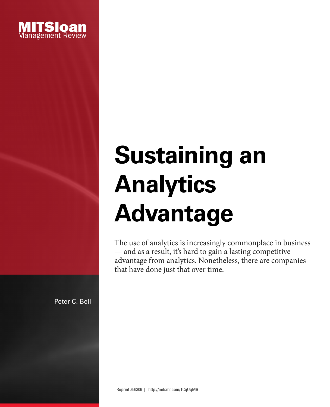

# **Sustaining an Analytics Advantage**

The use of analytics is increasingly commonplace in business — and as a result, it's hard to gain a lasting competitive advantage from analytics. Nonetheless, there are companies that have done just that over time.

Peter C. Bell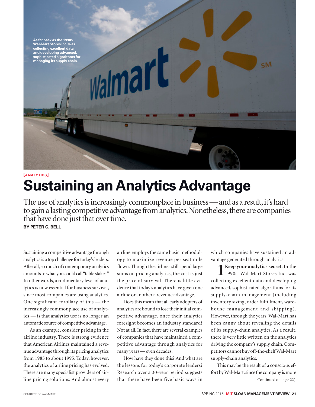

# **[ANALYTICS] Sustaining an Analytics Advantage**

The use of analytics is increasingly commonplace in business — and as a result, it's hard to gain a lasting competitive advantage from analytics. Nonetheless, there are companies that have done just that over time. **BY PETER C. BELL**

Sustaining a competitive advantage through analytics is a top challenge for today's leaders. After all, so much of contemporary analytics amounts to what you could call "table stakes." In other words, a rudimentary level of analytics is now essential for business survival, since most companies are using analytics. One significant corollary of this — the increasingly commonplace use of analytics — is that analytics use is no longer an automatic source of competitive advantage.

As an example, consider pricing in the airline industry. There is strong evidence that American Airlines maintained a revenue advantage through its pricing analytics from 1985 to about 1995. Today, however, the analytics of airline pricing has evolved. There are many specialist providers of airline pricing solutions. And almost every airline employs the same basic methodology to maximize revenue per seat mile flown. Though the airlines still spend large sums on pricing analytics, the cost is just the price of survival. There is little evidence that today's analytics have given one airline or another a revenue advantage.

Does this mean that all early adopters of analytics are bound to lose their initial competitive advantage, once their analytics foresight becomes an industry standard? Not at all. In fact, there are several examples of companies that have maintained a competitive advantage through analytics for many years — even decades.

How have they done this? And what are the lessons for today's corporate leaders? Research over a 30-year period suggests that there have been five basic ways in which companies have sustained an advantage generated through analytics:

**1 Keep your analytics secret.** In the 1990s, Wal-Mart Stores Inc. was collecting excellent data and developing advanced, sophisticated algorithms for its supply-chain management (including inventory sizing, order fulfillment, warehouse management and shipping). However, through the years, Wal-Mart has been canny about revealing the details of its supply-chain analytics. As a result, there is very little written on the analytics driving the company's supply chain. Competitors cannot buy off-the-shelf Wal-Mart supply-chain analytics.

This may be the result of a conscious effort by Wal-Mart, since the company is more Continued on page 22)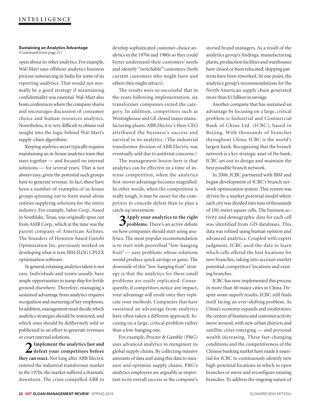#### **Sustaining an Analytics Advantage** (Continued from page 21)

open about its other analytics. For example, Wal-Mart uses offshore analytics business process outsourcing in India for some of its reporting analytics. That would not normally be a good strategy if maintaining confidentiality was essential. Wal-Mart also hosts conferences where the company shares and encourages discussion of consumer choice and human resources analytics. Nonetheless, it is very difficult to obtain real insight into the logic behind Wal-Mart's supply-chain algorithms.

Keeping analytics secret typically requires maintaining an in-house analytics team that stays together — and focused on internal solutions — for several years. That is not always easy, given the potential such groups have to generate revenue. In fact, there have been a number of examples of in-house groups spinning out to form stand-alone entities supplying solutions for the entire industry. For example, Sabre Corp., based in Southlake, Texas, was originally spun out from AMR Corp., which at the time was the parent company of American Airlines. The founders of Houston-based Gurobi Optimization Inc. previously worked on developing what is now IBM ILOG CPLEX optimization software.

In general, retaining analytics talent is not easy. Individuals and teams usually have ample opportunities to jump ship for fertile ground elsewhere. Therefore, managing a sustained advantage from analytics requires recognition and nurturing of key employees. In addition, management must decide which analytics strategies should be restricted, and which ones should be deliberately sold or publicized in an effort to generate revenues or court external solutions.

**2Implement the analytics fast and defeat your competitors before they can react.** Not long after ABB Electric entered the industrial transformer market in the 1970s, the market suffered a dramatic downturn. The crisis compelled ABB to

develop sophisticated customer-choice analytics in the 1970s and 1980s so they could better understand their customers' needs and identify "switchable" customers (both current customers who might leave and others they might attract).

The results were so successful that in the years following implementation, six transformer companies exited the category. In addition, competitors such as Westinghouse and GE closed major manufacturing plants. ABB Electric's then-CEO attributed the business's success and survival to its analytics. (The industrial transformer division of ABB Electric was eventually sold due to antitrust concerns.)

The management lesson here is that analytics can be effective in a time of intense competition, when the analytics first-mover advantage becomes magnified. In other words, when the competition is really tough, it may be easier for the competitor to concede defeat than to plan a catch-up investment.

**3Apply your analytics to the right problems.** There's an active debate on how companies should start using analytics. The most popular recommendation is to start with proverbial "low-hanging fruit" — easy problems whose solutions would produce quick savings or gains. The downside of this "low-hanging fruit" strategy is that the analytics for these small problems are easily replicated. Consequently, if competitors notice any impact, your advantage will erode once they replicate your methods. Companies that have sustained an advantage from analytics have often taken a different approach, focusing on a large, critical problem rather than a low-hanging one.

For example, Procter & Gamble (P&G) uses advanced analytics to reengineer its global supply chains. By collecting massive amounts of data and using this data to measure and optimize supply chains, P&G's analytics employees are arguably as important to its overall success as the company's

storied brand managers. As a result of the analytics group's findings, manufacturing plants, production facilities and warehouses have closed or been relocated; shipping patterns have been reworked. At one point, the analytics group's recommendations for the North American supply chain generated more than \$1 billion in savings.

Another company that has sustained an advantage by focusing on a large, critical problem is Industrial and Commercial Bank of China Ltd. (ICBC), based in Beijing. With thousands of branches throughout China, ICBC is the world's largest bank. Recognizing that the branch network is a key strategic asset of the bank, ICBC set out to design and maintain the best possible branch network.

In 2006, ICBC partnered with IBM and began development of ICBC's branch network optimization system. This system was driven by a market potential model where each city was divided into tens of thousands of 100-meter square cells. The business activity and demographic data for each cell was identified from GIS databases. This data was refined using human opinion and advanced analytics. Coupled with expert judgment, ICBC used the data to learn which cells offered the best locations for new branches, taking into account market potential, competitors' locations and existing branches.

ICBC has now implemented this process in more than 40 major cities in China. Despite some superb results, ICBC still finds itself facing an ever-shifting problem. As China's economy expands and modernizes, the centers of business and customer activity move around, with new urban districts and satellite cities emerging — and personal wealth increasing. These fast-changing conditions and the competitiveness of the Chinese banking market have made it essential for ICBC to continuously identify new high-potential locations in which to open branches or move and reconfigure existing branches. To address the ongoing nature of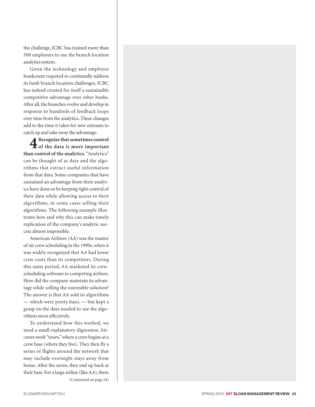the challenge, ICBC has trained more than 500 employees to use the branch location analytics system.

Given the technology and employee headcount required to continually address its bank branch location challenges, ICBC has indeed created for itself a sustainable competitive advantage over other banks. After all, the branches evolve and develop in response to hundreds of feedback loops over time from the analytics. These changes add to the time it takes for new entrants to catch up and take away the advantage.

**4Recognize that sometimes control of the data is more important than control of the analytics.** "Analytics" can be thought of as data and the algo rithms that extract useful information from that data. Some companies that have sustained an advantage from their analyt ics have done so by keeping tight control of their data while allowing access to their algorithms, in some cases selling their algorithms. The following example illus trates how and why this can make timely replication of the company's analytic suc cess almost impossible.

American Airlines (AA) was the master of air crew scheduling in the 1990s, when it was widely recognized that AA had lower crew costs than its competitors. During this same period, AA marketed its crewscheduling software to competing airlines. How did the company maintain its advan tage while selling the ostensible solution? The answer is that AA sold its algorithms — which were pretty basic — but kept a grasp on the data needed to use the algo rithms most effectively.

To understand how this worked, we need a small explanatory digression. Air crews work "tours," where a crew begins at a crew base (where they live). They then fly a series of flights around the network that may include overnight stays away from home. After the series, they end up back at their base. For a large airline (like AA), there (Continued on page 24)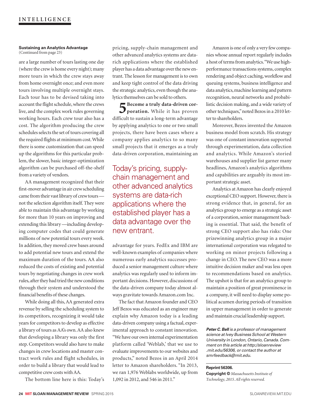#### **Sustaining an Analytics Advantage** (Continued from page 23)

are a large number of tours lasting one day (where the crew is home every night); many more tours in which the crew stays away from home overnight once; and even more tours involving multiple overnight stays. Each tour has to be devised taking into account the flight schedule, where the crews live, and the complex work rules governing working hours. Each crew tour also has a cost. The algorithm producing the crew schedules selects the set of tours covering all the required flights at minimum cost. While there is some customization that can speed up the algorithms for this particular problem, the slower, basic integer-optimization algorithm can be purchased off-the-shelf from a variety of vendors.

AA management recognized that their first-mover advantage in air crew scheduling came from their vast library of crew tours not the selection algorithm itself. They were able to maintain this advantage by working for more than 10 years on improving and extending this library —including developing computer codes that could generate millions of new potential tours every week. In addition, they moved crew bases around to add potential new tours and extend the maximum duration of the tours. AA also reduced the costs of existing and potential tours by negotiating changes in crew work rules, after they had tried the new conditions through their system and understood the financial benefits of these changes.

While doing all this, AA generated extra revenue by selling the scheduling system to its competitors, recognizing it would take years for competitors to develop as effective a library of tours as AA's own. AA also knew that developing a library was only the first step. Competitors would also have to make changes in crew locations and master contract work rules and flight schedules, in order to build a library that would lead to competitive crew costs with AA.

The bottom line here is this: Today's

pricing, supply-chain management and other advanced analytics systems are datarich applications where the established player has a data advantage over the new entrant. The lesson for management is to own and keep tight control of the data driving the strategic analytics, even though the analytics themselves can be sold to others.

**5Become a truly data-driven cor-poration.** While it has proven difficult to sustain a long-term advantage by applying analytics to one or two small projects, there have been cases where a company applies analytics to so many small projects that it emerges as a truly data-driven corporation, maintaining an

## Today's pricing, supplychain management and other advanced analytics systems are data-rich applications where the established player has a data advantage over the new entrant.

advantage for years. FedEx and IBM are well-known examples of companies where numerous early analytics successes produced a senior management culture where analytics was regularly used to inform important decisions. However, discussions of the data-driven company today almost always gravitate towards Amazon.com Inc.

The fact that Amazon founder and CEO Jeff Bezos was educated as an engineer may explain why Amazon today is a leading data-driven company using a factual, experimental approach to constant innovation. "We have our own internal experimentation platform called 'Weblab,' that we use to evaluate improvements to our websites and products," noted Bezos in an April 2014 letter to Amazon shareholders. "In 2013, we ran 1,976 Weblabs worldwide, up from 1,092 in 2012, and 546 in 2011."

Amazon is one of only a very few companies whose annual report regularly includes a host of terms from analytics. "We use highperformance transactions systems, complex rendering and object caching, workflow and queuing systems, business intelligence and data analytics, machine learning and pattern recognition, neural networks and probabilistic decision making, and a wide variety of other techniques," noted Bezos in a 2010 letter to shareholders.

Moreover, Bezos invented the Amazon business model from scratch. His strategy was one of constant innovation supported through experimentation, data collection and analytics. While Amazon's storied warehouses and supplier list garner many headlines, Amazon's analytics algorithms and capabilities are arguably its most important strategic asset.

Analytics at Amazon has clearly enjoyed exceptional CEO support. However, there is strong evidence that, in general, for an analytics group to emerge as a strategic asset of a corporation, senior management backing is essential. That said, the benefit of strong CEO support also has risks: One prizewinning analytics group in a major international corporation was relegated to working on minor projects following a change in CEO. The new CEO was a more intuitive decision maker and was less open to recommendations based on analytics. The upshot is that for an analytics group to maintain a position of great prominence in a company, it will need to display some political acumen during periods of transition in upper management in order to generate and maintain crucial leadership support.

*Peter C. Bell is a professor of management science at Ivey Business School at Western University in London, Ontario, Canada. Comment on this article at http://sloanreview .mit.edu/56306, or contact the author at smrfeedback@mit.edu.*

#### **Reprint 56306.**

**Copyright ©** *Massachusetts Institute of Technology, 2015. All rights reserved.*